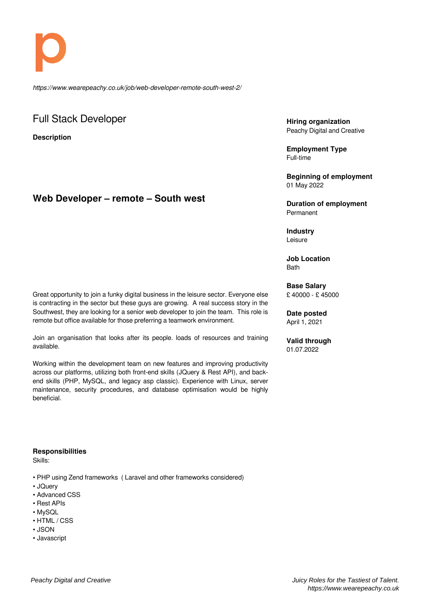*https://www.wearepeachy.co.uk/job/web-developer-remote-south-west-2/*

# Full Stack Developer

**Description**

## **Web Developer – remote – South west**

Great opportunity to join a funky digital business in the leisure sector. Everyone else is contracting in the sector but these guys are growing. A real success story in the Southwest, they are looking for a senior web developer to join the team. This role is remote but office available for those preferring a teamwork environment.

Join an organisation that looks after its people. loads of resources and training available.

Working within the development team on new features and improving productivity across our platforms, utilizing both front-end skills (JQuery & Rest API), and backend skills (PHP, MySQL, and legacy asp classic). Experience with Linux, server maintenance, security procedures, and database optimisation would be highly beneficial.

**Responsibilities**

Skills:

• PHP using Zend frameworks ( Laravel and other frameworks considered)

- JQuery
- Advanced CSS
- Rest APIs
- MySQL
- HTML / CSS
- JSON • Javascript

**Hiring organization** Peachy Digital and Creative

**Employment Type** Full-time

**Beginning of employment** 01 May 2022

**Duration of employment** Permanent

## **Industry**

Leisure

**Job Location Bath** 

**Base Salary**

£ 40000 - £ 45000

**Date posted** April 1, 2021

**Valid through**

01.07.2022